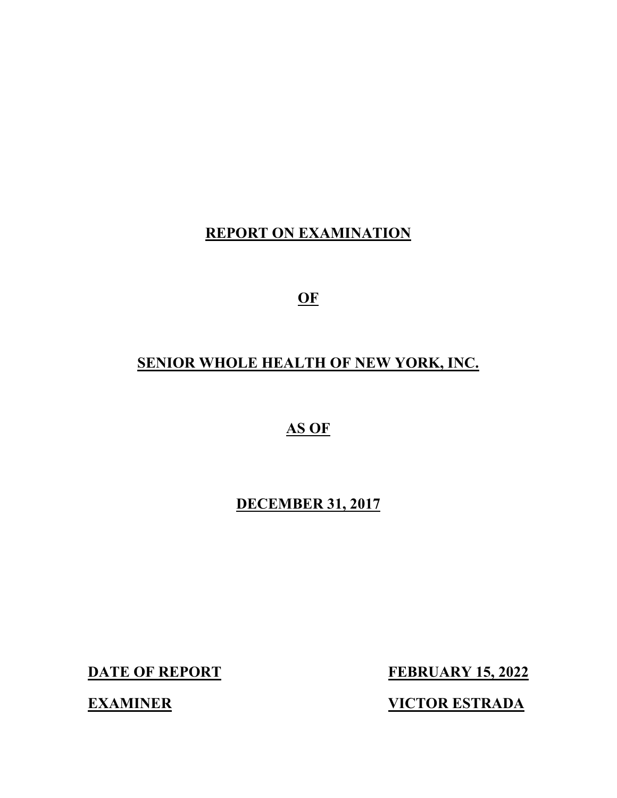## **REPORT ON EXAMINATION**

**OF** 

# **SENIOR WHOLE HEALTH OF NEW YORK, INC.**

**AS OF** 

**DECEMBER 31, 2017** 

**DATE OF REPORT FEBRUARY 15, 2022** 

**EXAMINER VICTOR ESTRADA**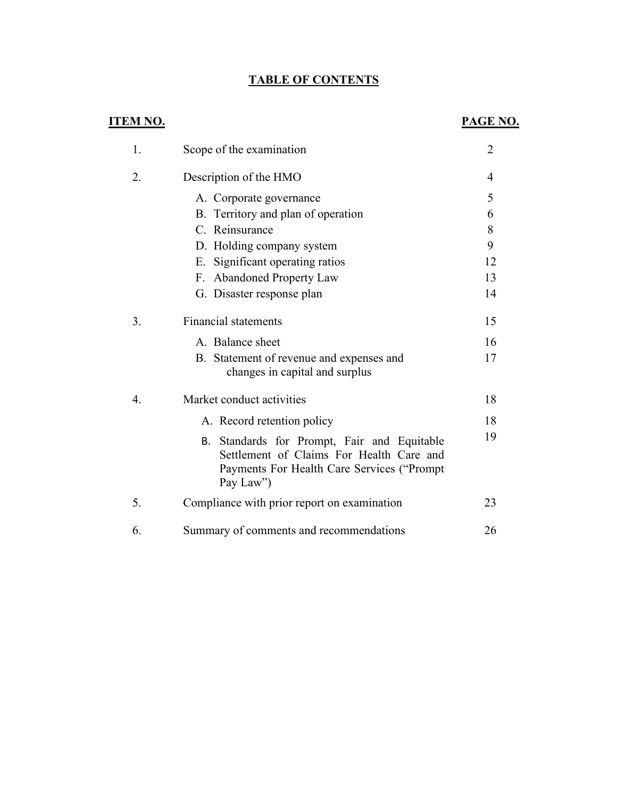## **TABLE OF CONTENTS**

## **ITEM NO. PAGE NO.**

| 1. | Scope of the examination                                                                                                                           | $\overline{2}$ |
|----|----------------------------------------------------------------------------------------------------------------------------------------------------|----------------|
| 2. | Description of the HMO                                                                                                                             | 4              |
|    | A. Corporate governance                                                                                                                            | 5              |
|    | B. Territory and plan of operation                                                                                                                 | 6              |
|    | C. Reinsurance                                                                                                                                     | 8              |
|    | D. Holding company system                                                                                                                          | 9              |
|    | E. Significant operating ratios                                                                                                                    | 12             |
|    | F. Abandoned Property Law                                                                                                                          | 13             |
|    | G. Disaster response plan                                                                                                                          | 14             |
| 3. | <b>Financial statements</b>                                                                                                                        | 15             |
|    | A. Balance sheet                                                                                                                                   | 16             |
|    | B. Statement of revenue and expenses and<br>changes in capital and surplus                                                                         | 17             |
| 4. | Market conduct activities                                                                                                                          | 18             |
|    | A. Record retention policy                                                                                                                         | 18             |
|    | B. Standards for Prompt, Fair and Equitable<br>Settlement of Claims For Health Care and<br>Payments For Health Care Services ("Prompt<br>Pay Law") | 19             |
| 5. | Compliance with prior report on examination                                                                                                        | 23             |
| 6. | Summary of comments and recommendations                                                                                                            | 26             |
|    |                                                                                                                                                    |                |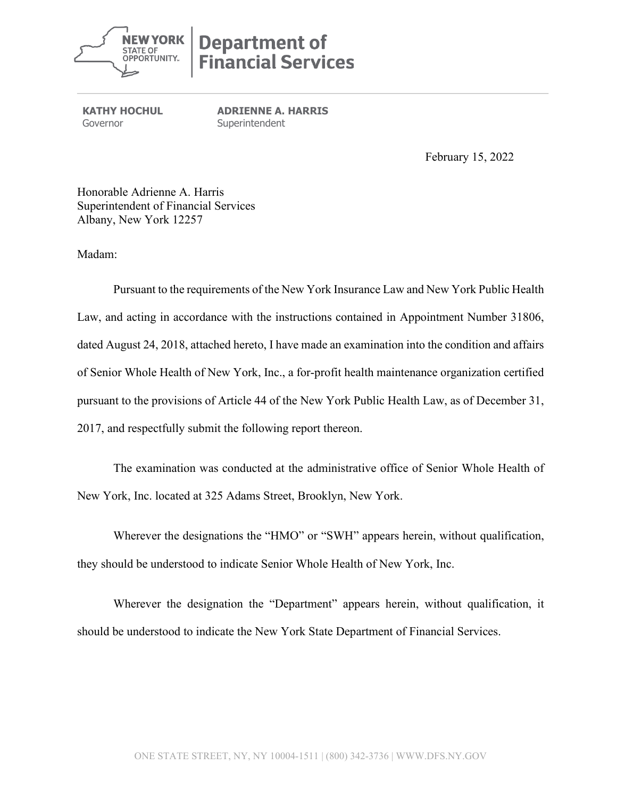

# **Department of Financial Services**

**KATHY HOCHUL** Governor **Superintendent** 

**ADRIENNE A. HARRIS** 

February 15, 2022

 Honorable Adrienne A. Harris Superintendent of Financial Services Albany, New York 12257

Madam:

 dated August 24, 2018, attached hereto, I have made an examination into the condition and affairs pursuant to the provisions of Article 44 of the New York Public Health Law, as of December 31, Pursuant to the requirements of the New York Insurance Law and New York Public Health Law, and acting in accordance with the instructions contained in Appointment Number 31806, of Senior Whole Health of New York, Inc., a for-profit health maintenance organization certified 2017, and respectfully submit the following report thereon.

 New York, Inc. located at 325 Adams Street, Brooklyn, New York. The examination was conducted at the administrative office of Senior Whole Health of

 Wherever the designations the "HMO" or "SWH" appears herein, without qualification, they should be understood to indicate Senior Whole Health of New York, Inc.

Wherever the designation the "Department" appears herein, without qualification, it should be understood to indicate the New York State Department of Financial Services.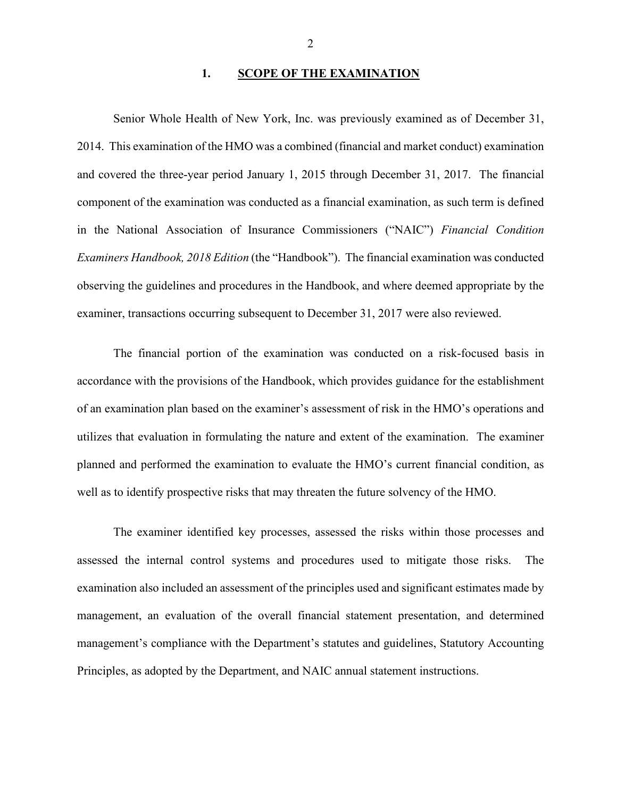#### 1. SCOPE OF THE EXAMINATION

 Senior Whole Health of New York, Inc. was previously examined as of December 31, 2014. This examination of the HMO was a combined (financial and market conduct) examination and covered the three-year period January 1, 2015 through December 31, 2017. The financial component of the examination was conducted as a financial examination, as such term is defined in the National Association of Insurance Commissioners ("NAIC") *Financial Condition Examiners Handbook, 2018 Edition* (the "Handbook"). The financial examination was conducted observing the guidelines and procedures in the Handbook, and where deemed appropriate by the examiner, transactions occurring subsequent to December 31, 2017 were also reviewed.

 The financial portion of the examination was conducted on a risk-focused basis in utilizes that evaluation in formulating the nature and extent of the examination. The examiner well as to identify prospective risks that may threaten the future solvency of the HMO. accordance with the provisions of the Handbook, which provides guidance for the establishment of an examination plan based on the examiner's assessment of risk in the HMO's operations and planned and performed the examination to evaluate the HMO's current financial condition, as

The examiner identified key processes, assessed the risks within those processes and assessed the internal control systems and procedures used to mitigate those risks. The examination also included an assessment of the principles used and significant estimates made by management, an evaluation of the overall financial statement presentation, and determined management's compliance with the Department's statutes and guidelines, Statutory Accounting Principles, as adopted by the Department, and NAIC annual statement instructions.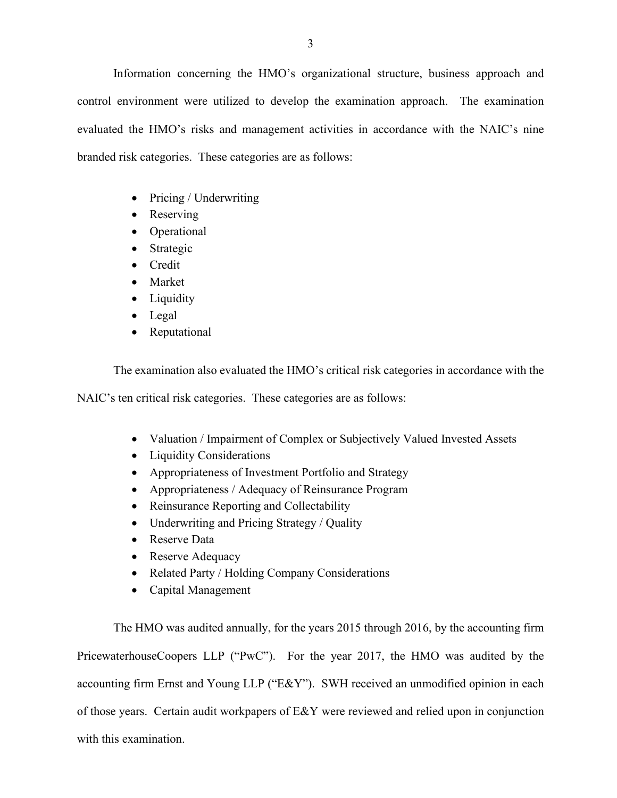branded risk categories. These categories are as follows: Information concerning the HMO's organizational structure, business approach and control environment were utilized to develop the examination approach. The examination evaluated the HMO's risks and management activities in accordance with the NAIC's nine

- Pricing / Underwriting
- Reserving
- Operational
- Strategic
- Credit
- Market
- Liquidity
- Legal
- Reputational

The examination also evaluated the HMO's critical risk categories in accordance with the

NAIC's ten critical risk categories. These categories are as follows:

- Valuation / Impairment of Complex or Subjectively Valued Invested Assets
- Liquidity Considerations
- Appropriateness of Investment Portfolio and Strategy
- Appropriateness / Adequacy of Reinsurance Program
- Reinsurance Reporting and Collectability
- Underwriting and Pricing Strategy / Quality
- Reserve Data
- Reserve Adequacy
- Related Party / Holding Company Considerations
- Capital Management

 accounting firm Ernst and Young LLP ("E&Y"). SWH received an unmodified opinion in each The HMO was audited annually, for the years 2015 through 2016, by the accounting firm PricewaterhouseCoopers LLP ("PwC"). For the year 2017, the HMO was audited by the of those years. Certain audit workpapers of E&Y were reviewed and relied upon in conjunction with this examination.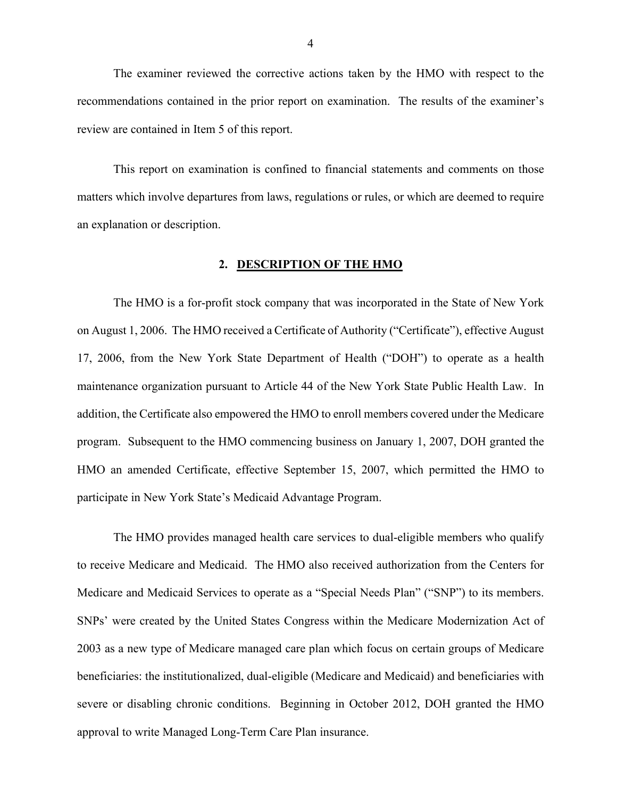recommendations contained in the prior report on examination. The results of the examiner's review are contained in Item 5 of this report. The examiner reviewed the corrective actions taken by the HMO with respect to the

This report on examination is confined to financial statements and comments on those matters which involve departures from laws, regulations or rules, or which are deemed to require an explanation or description.

#### **2. DESCRIPTION OF THE HMO**

 17, 2006, from the New York State Department of Health ("DOH") to operate as a health maintenance organization pursuant to Article 44 of the New York State Public Health Law. In participate in New York State's Medicaid Advantage Program. The HMO is a for-profit stock company that was incorporated in the State of New York on August 1, 2006. The HMO received a Certificate of Authority ("Certificate"), effective August addition, the Certificate also empowered the HMO to enroll members covered under the Medicare program. Subsequent to the HMO commencing business on January 1, 2007, DOH granted the HMO an amended Certificate, effective September 15, 2007, which permitted the HMO to

 to receive Medicare and Medicaid. The HMO also received authorization from the Centers for Medicare and Medicaid Services to operate as a "Special Needs Plan" ("SNP") to its members. severe or disabling chronic conditions. Beginning in October 2012, DOH granted the HMO The HMO provides managed health care services to dual-eligible members who qualify SNPs' were created by the United States Congress within the Medicare Modernization Act of 2003 as a new type of Medicare managed care plan which focus on certain groups of Medicare beneficiaries: the institutionalized, dual-eligible (Medicare and Medicaid) and beneficiaries with approval to write Managed Long-Term Care Plan insurance.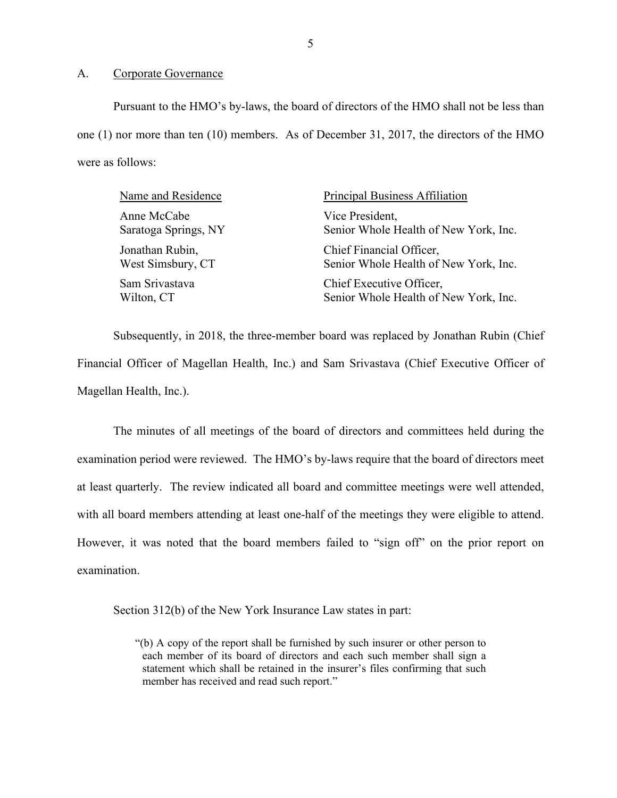#### A. Corporate Governance

 one (1) nor more than ten (10) members. As of December 31, 2017, the directors of the HMO Pursuant to the HMO's by-laws, the board of directors of the HMO shall not be less than were as follows:

| Name and Residence   | Principal Business Affiliation        |
|----------------------|---------------------------------------|
| Anne McCabe          | Vice President,                       |
| Saratoga Springs, NY | Senior Whole Health of New York, Inc. |
| Jonathan Rubin,      | Chief Financial Officer,              |
| West Simsbury, CT    | Senior Whole Health of New York, Inc. |
| Sam Srivastava       | Chief Executive Officer,              |
| Wilton, CT           | Senior Whole Health of New York, Inc. |

 Financial Officer of Magellan Health, Inc.) and Sam Srivastava (Chief Executive Officer of Subsequently, in 2018, the three-member board was replaced by Jonathan Rubin (Chief Magellan Health, Inc.).

 examination period were reviewed. The HMO's by-laws require that the board of directors meet with all board members attending at least one-half of the meetings they were eligible to attend. with all board members attending at least one-half of the meetings they were eligible to attend. However, it was noted that the board members failed to "sign off" on the prior report on The minutes of all meetings of the board of directors and committees held during the at least quarterly. The review indicated all board and committee meetings were well attended, examination.

Section 312(b) of the New York Insurance Law states in part:

 "(b) A copy of the report shall be furnished by such insurer or other person to each member of its board of directors and each such member shall sign a statement which shall be retained in the insurer's files confirming that such member has received and read such report."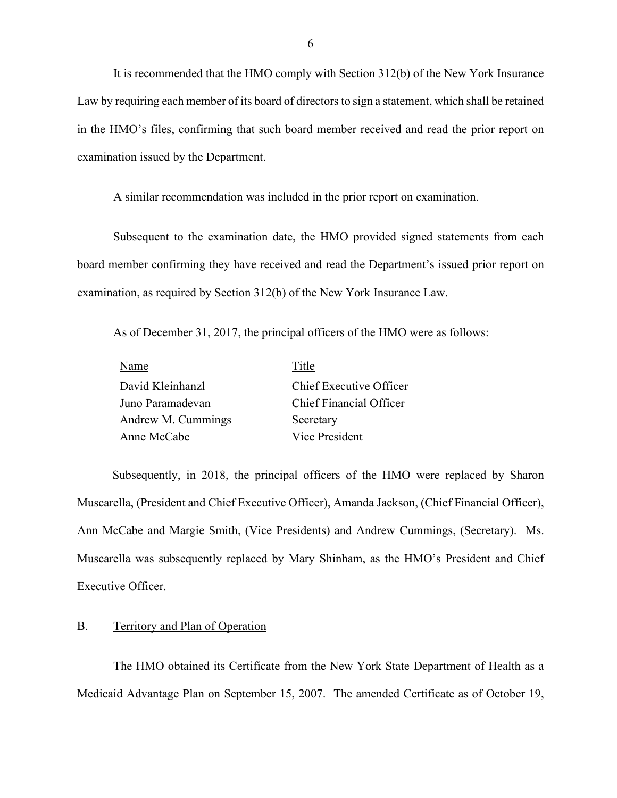<span id="page-7-0"></span>It is recommended that the HMO comply with Section 312(b) of the New York Insurance Law by requiring each member of its board of directors to sign a statement, which shall be retained in the HMO's files, confirming that such board member received and read the prior report on examination issued by the Department.

A similar recommendation was included in the prior report on examination.

examination, as required by Section 312(b) of the New York Insurance Law. Subsequent to the examination date, the HMO provided signed statements from each board member confirming they have received and read the Department's issued prior report on

As of December 31, 2017, the principal officers of the HMO were as follows:

| Name               | Title                   |
|--------------------|-------------------------|
| David Kleinhanzl   | Chief Executive Officer |
| Juno Paramadevan   | Chief Financial Officer |
| Andrew M. Cummings | Secretary               |
| Anne McCabe        | Vice President          |

 Muscarella, (President and Chief Executive Officer), Amanda Jackson, (Chief Financial Officer), Ann McCabe and Margie Smith, (Vice Presidents) and Andrew Cummings, (Secretary). Ms. Muscarella was subsequently replaced by Mary Shinham, as the HMO's President and Chief Subsequently, in 2018, the principal officers of the HMO were replaced by Sharon Executive Officer.

#### B. Territory and Plan of Operation

 The HMO obtained its Certificate from the New York State Department of Health as a Medicaid Advantage Plan on September 15, 2007. The amended Certificate as of October 19,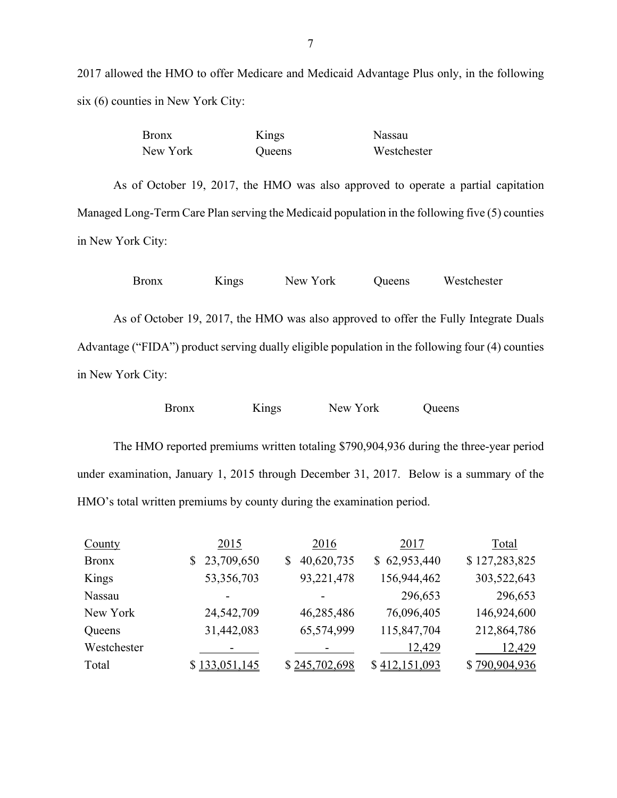2017 allowed the HMO to offer Medicare and Medicaid Advantage Plus only, in the following six (6) counties in New York City:

| <b>Bronx</b> | Kings         | Nassau      |
|--------------|---------------|-------------|
| New York     | <b>Oueens</b> | Westchester |

As of October 19, 2017, the HMO was also approved to operate a partial capitation Managed Long-Term Care Plan serving the Medicaid population in the following five (5) counties in New York City:

| <b>Bronx</b>      | Kings | New York | Queens | Westchester                                                                                      |  |
|-------------------|-------|----------|--------|--------------------------------------------------------------------------------------------------|--|
|                   |       |          |        |                                                                                                  |  |
|                   |       |          |        | As of October 19, 2017, the HMO was also approved to offer the Fully Integrate Duals             |  |
|                   |       |          |        | Advantage ("FIDA") product serving dually eligible population in the following four (4) counties |  |
| in New York City: |       |          |        |                                                                                                  |  |

| Bronx | Kings | New York | <b>Oueens</b> |
|-------|-------|----------|---------------|
|       |       |          |               |

The HMO reported premiums written totaling \$790,904,936 during the three-year period under examination, January 1, 2015 through December 31, 2017. Below is a summary of the HMO's total written premiums by county during the examination period.

| County       | 2015             | 2016          | 2017          | Total         |
|--------------|------------------|---------------|---------------|---------------|
| <b>Bronx</b> | 23,709,650<br>\$ | 40,620,735    | \$62,953,440  | \$127,283,825 |
| Kings        | 53,356,703       | 93,221,478    | 156,944,462   | 303,522,643   |
| Nassau       |                  |               | 296,653       | 296,653       |
| New York     | 24,542,709       | 46,285,486    | 76,096,405    | 146,924,600   |
| Queens       | 31,442,083       | 65,574,999    | 115,847,704   | 212,864,786   |
| Westchester  |                  |               | 12,429        | 12,429        |
| Total        | \$133,051,145    | \$245,702,698 | \$412,151,093 | \$790,904,936 |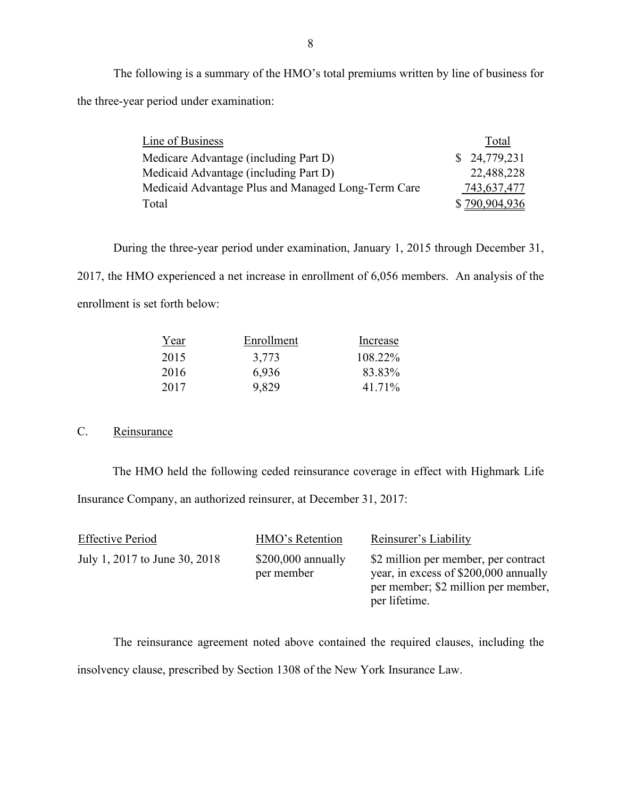the three-year period under examination: The following is a summary of the HMO's total premiums written by line of business for

| the three-year period under examination:           |               |
|----------------------------------------------------|---------------|
| Line of Business                                   | Total         |
| Medicare Advantage (including Part D)              | \$24,779,231  |
| Medicaid Advantage (including Part D)              | 22,488,228    |
| Medicaid Advantage Plus and Managed Long-Term Care | 743,637,477   |
| Total                                              | \$790,904,936 |

 2017, the HMO experienced a net increase in enrollment of 6,056 members. An analysis of the During the three-year period under examination, January 1, 2015 through December 31, enrollment is set forth below:

| Year | Enrollment | Increase |
|------|------------|----------|
| 2015 | 3,773      | 108.22%  |
| 2016 | 6,936      | 83.83%   |
| 2017 | 9,829      | 41.71%   |

### C. Reinsurance

The HMO held the following ceded reinsurance coverage in effect with Highmark Life Insurance Company, an authorized reinsurer, at December 31, 2017:

| <b>Effective Period</b>       | HMO's Retention                   | Reinsurer's Liability                                                                                                                 |
|-------------------------------|-----------------------------------|---------------------------------------------------------------------------------------------------------------------------------------|
| July 1, 2017 to June 30, 2018 | $$200,000$ annually<br>per member | \$2 million per member, per contract<br>year, in excess of \$200,000 annually<br>per member; \$2 million per member,<br>per lifetime. |

 insolvency clause, prescribed by Section 1308 of the New York Insurance Law. The reinsurance agreement noted above contained the required clauses, including the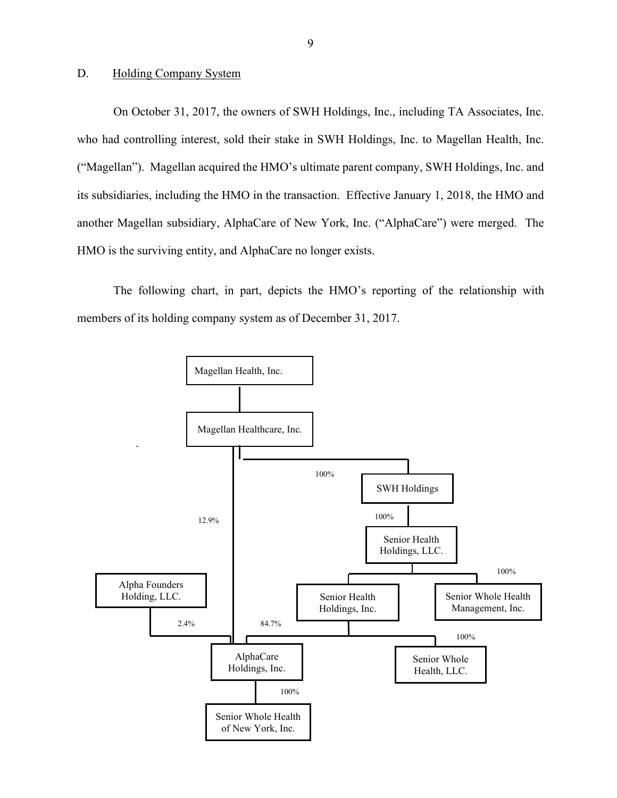#### <span id="page-10-0"></span>D. Holding Company System

 On October 31, 2017, the owners of SWH Holdings, Inc., including TA Associates, Inc. its subsidiaries, including the HMO in the transaction. Effective January 1, 2018, the HMO and another Magellan subsidiary, AlphaCare of New York, Inc. ("AlphaCare") were merged. The HMO is the surviving entity, and AlphaCare no longer exists. who had controlling interest, sold their stake in SWH Holdings, Inc. to Magellan Health, Inc. ("Magellan"). Magellan acquired the HMO's ultimate parent company, SWH Holdings, Inc. and

The following chart, in part, depicts the HMO's reporting of the relationship with members of its holding company system as of December 31, 2017.

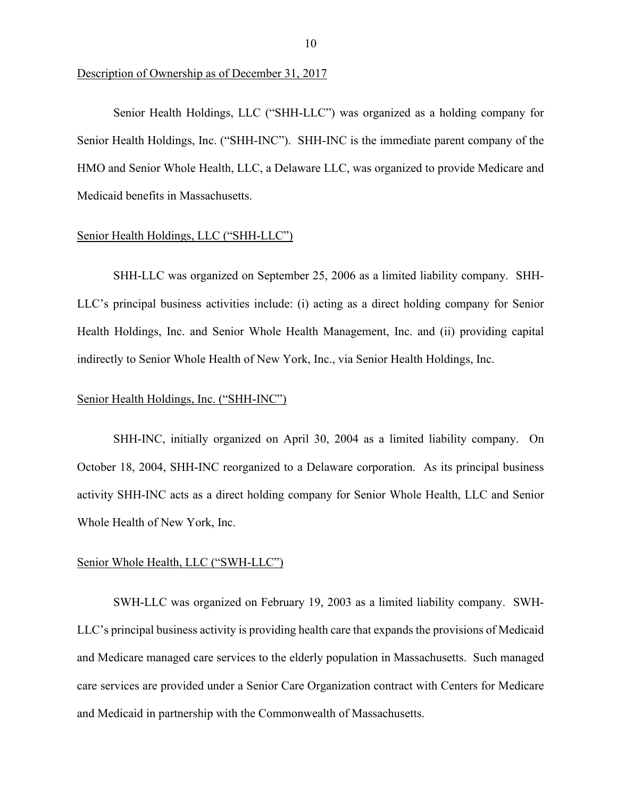Description of Ownership as of December 31, 2017

 HMO and Senior Whole Health, LLC, a Delaware LLC, was organized to provide Medicare and Senior Health Holdings, LLC ("SHH-LLC") was organized as a holding company for Senior Health Holdings, Inc. ("SHH-INC"). SHH-INC is the immediate parent company of the Medicaid benefits in Massachusetts.

#### Senior Health Holdings, LLC ("SHH-LLC")

 SHH-LLC was organized on September 25, 2006 as a limited liability company. SHH-LLC's principal business activities include: (i) acting as a direct holding company for Senior Health Holdings, Inc. and Senior Whole Health Management, Inc. and (ii) providing capital indirectly to Senior Whole Health of New York, Inc., via Senior Health Holdings, Inc.

#### Senior Health Holdings, Inc. ("SHH-INC")

 October 18, 2004, SHH-INC reorganized to a Delaware corporation. As its principal business activity SHH-INC acts as a direct holding company for Senior Whole Health, LLC and Senior Whole Health of New York, Inc. SHH-INC, initially organized on April 30, 2004 as a limited liability company. On

#### Senior Whole Health, LLC ("SWH-LLC")

SWH-LLC was organized on February 19, 2003 as a limited liability company. SWH-LLC's principal business activity is providing health care that expands the provisions of Medicaid and Medicare managed care services to the elderly population in Massachusetts. Such managed care services are provided under a Senior Care Organization contract with Centers for Medicare and Medicaid in partnership with the Commonwealth of Massachusetts.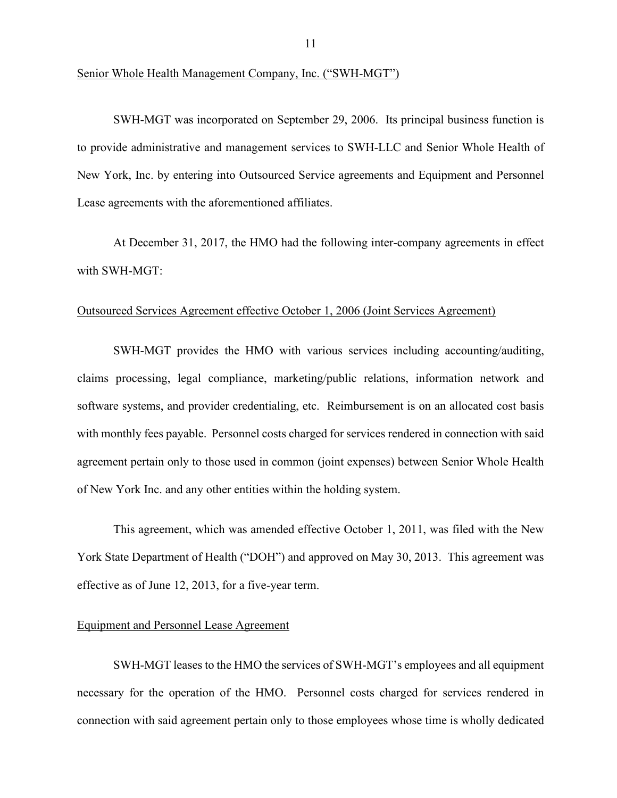Senior Whole Health Management Company, Inc. ("SWH-MGT")

SWH-MGT was incorporated on September 29, 2006. Its principal business function is to provide administrative and management services to SWH-LLC and Senior Whole Health of New York, Inc. by entering into Outsourced Service agreements and Equipment and Personnel Lease agreements with the aforementioned affiliates.

At December 31, 2017, the HMO had the following inter-company agreements in effect with SWH-MGT:

#### Outsourced Services Agreement effective October 1, 2006 (Joint Services Agreement)

SWH-MGT provides the HMO with various services including accounting/auditing, claims processing, legal compliance, marketing/public relations, information network and software systems, and provider credentialing, etc. Reimbursement is on an allocated cost basis with monthly fees payable. Personnel costs charged for services rendered in connection with said agreement pertain only to those used in common (joint expenses) between Senior Whole Health of New York Inc. and any other entities within the holding system.

This agreement, which was amended effective October 1, 2011, was filed with the New York State Department of Health ("DOH") and approved on May 30, 2013. This agreement was effective as of June 12, 2013, for a five-year term.

#### Equipment and Personnel Lease Agreement

SWH-MGT leases to the HMO the services of SWH-MGT's employees and all equipment necessary for the operation of the HMO. Personnel costs charged for services rendered in connection with said agreement pertain only to those employees whose time is wholly dedicated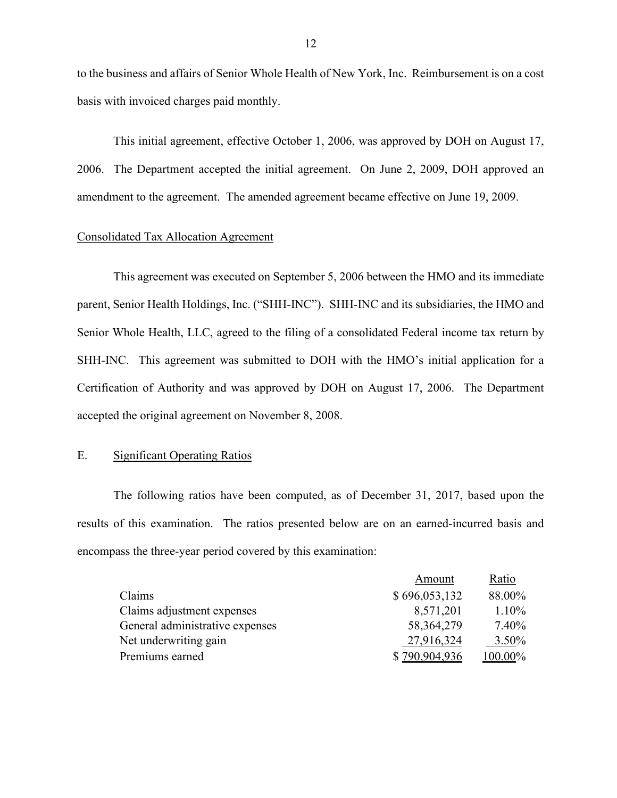to the business and affairs of Senior Whole Health of New York, Inc. Reimbursement is on a cost basis with invoiced charges paid monthly.

 2006. The Department accepted the initial agreement. On June 2, 2009, DOH approved an amendment to the agreement. The amended agreement became effective on June 19, 2009. This initial agreement, effective October 1, 2006, was approved by DOH on August 17,

#### Consolidated Tax Allocation Agreement

 parent, Senior Health Holdings, Inc. ("SHH-INC"). SHH-INC and its subsidiaries, the HMO and SHH-INC. This agreement was submitted to DOH with the HMO's initial application for a Certification of Authority and was approved by DOH on August 17, 2006. The Department This agreement was executed on September 5, 2006 between the HMO and its immediate Senior Whole Health, LLC, agreed to the filing of a consolidated Federal income tax return by accepted the original agreement on November 8, 2008.

#### E. Significant Operating Ratios

The following ratios have been computed, as of December 31, 2017, based upon the results of this examination. The ratios presented below are on an earned-incurred basis and encompass the three-year period covered by this examination:

|                                 | Amount        | Ratio    |
|---------------------------------|---------------|----------|
| Claims                          | \$696,053,132 | 88.00%   |
| Claims adjustment expenses      | 8,571,201     | $1.10\%$ |
| General administrative expenses | 58, 364, 279  | $7.40\%$ |
| Net underwriting gain           | 27,916,324    | $3.50\%$ |
| Premiums earned                 | \$790,904,936 | 100.00%  |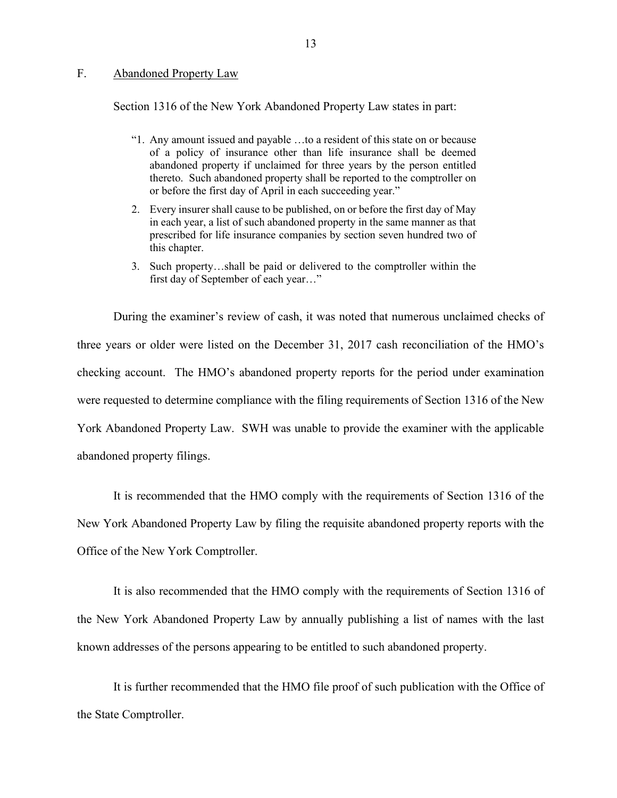#### <span id="page-14-0"></span>F. Abandoned Property Law

Section 1316 of the New York Abandoned Property Law states in part:

- "1. Any amount issued and payable …to a resident of this state on or because of a policy of insurance other than life insurance shall be deemed abandoned property if unclaimed for three years by the person entitled thereto. Such abandoned property shall be reported to the comptroller on or before the first day of April in each succeeding year."
- 2. Every insurer shall cause to be published, on or before the first day of May in each year, a list of such abandoned property in the same manner as that prescribed for life insurance companies by section seven hundred two of this chapter.
- 3. Such property…shall be paid or delivered to the comptroller within the first day of September of each year…"

 were requested to determine compliance with the filing requirements of Section 1316 of the New During the examiner's review of cash, it was noted that numerous unclaimed checks of three years or older were listed on the December 31, 2017 cash reconciliation of the HMO's checking account. The HMO's abandoned property reports for the period under examination York Abandoned Property Law. SWH was unable to provide the examiner with the applicable abandoned property filings.

It is recommended that the HMO comply with the requirements of Section 1316 of the New York Abandoned Property Law by filing the requisite abandoned property reports with the Office of the New York Comptroller.

It is also recommended that the HMO comply with the requirements of Section 1316 of the New York Abandoned Property Law by annually publishing a list of names with the last known addresses of the persons appearing to be entitled to such abandoned property.

It is further recommended that the HMO file proof of such publication with the Office of the State Comptroller.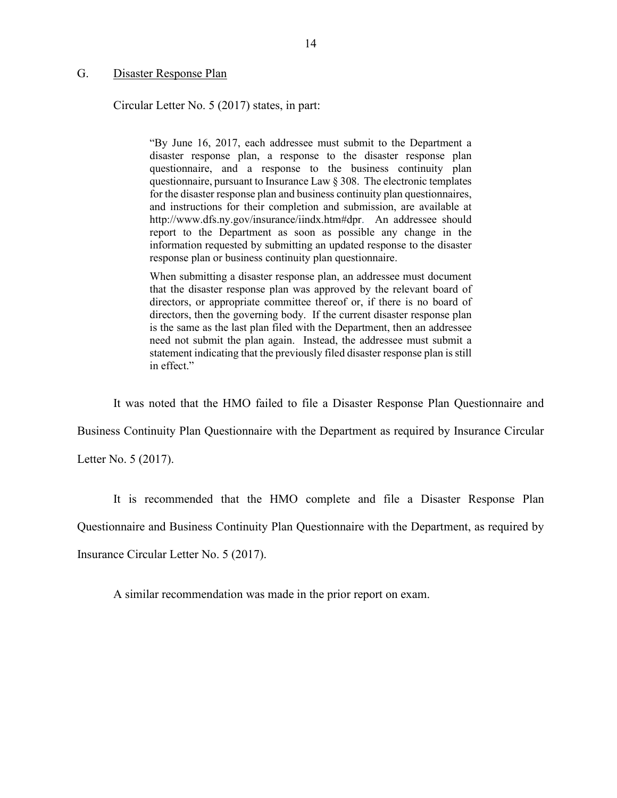#### <span id="page-15-0"></span>G. Disaster Response Plan

Circular Letter No. 5 (2017) states, in part:

 "By June 16, 2017, each addressee must submit to the Department a and instructions for their completion and submission, are available at [http://www.dfs.ny.gov/insurance/iindx.htm#dpr.](http://www.dfs.ny.gov/insurance/iindx.htm#dpr) An addressee should report to the Department as soon as possible any change in the disaster response plan, a response to the disaster response plan questionnaire, and a response to the business continuity plan questionnaire, pursuant to Insurance Law § 308. The electronic templates for the disaster response plan and business continuity plan questionnaires, information requested by submitting an updated response to the disaster response plan or business continuity plan questionnaire.

 When submitting a disaster response plan, an addressee must document that the disaster response plan was approved by the relevant board of directors, or appropriate committee thereof or, if there is no board of need not submit the plan again. Instead, the addressee must submit a directors, then the governing body. If the current disaster response plan is the same as the last plan filed with the Department, then an addressee statement indicating that the previously filed disaster response plan is still in effect."

It was noted that the HMO failed to file a Disaster Response Plan Questionnaire and

Business Continuity Plan Questionnaire with the Department as required by Insurance Circular

Letter No. 5 (2017).

It is recommended that the HMO complete and file a Disaster Response Plan

Questionnaire and Business Continuity Plan Questionnaire with the Department, as required by

Insurance Circular Letter No. 5 (2017).

A similar recommendation was made in the prior report on exam.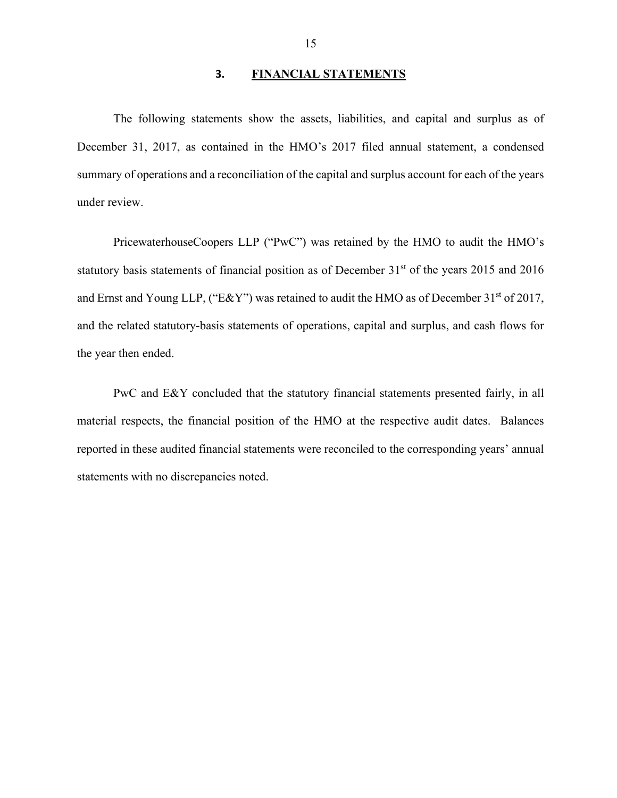#### **3. FINANCIAL STATEMENTS**

<span id="page-16-0"></span>The following statements show the assets, liabilities, and capital and surplus as of December 31, 2017, as contained in the HMO's 2017 filed annual statement, a condensed summary of operations and a reconciliation of the capital and surplus account for each of the years under review.

statutory basis statements of financial position as of December 31<sup>st</sup> of the years 2015 and 2016 PricewaterhouseCoopers LLP ("PwC") was retained by the HMO to audit the HMO's and Ernst and Young LLP, ("E&Y") was retained to audit the HMO as of December 31<sup>st</sup> of 2017, and the related statutory-basis statements of operations, capital and surplus, and cash flows for the year then ended.

PwC and E&Y concluded that the statutory financial statements presented fairly, in all material respects, the financial position of the HMO at the respective audit dates. Balances reported in these audited financial statements were reconciled to the corresponding years' annual statements with no discrepancies noted.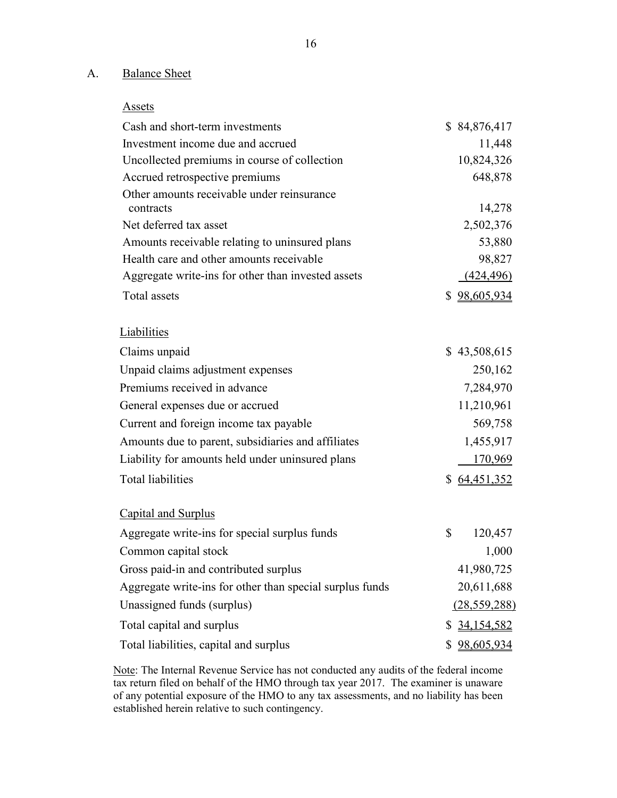## A. Balance Sheet

| Cash and short-term investments                          | \$84,876,417     |
|----------------------------------------------------------|------------------|
| Investment income due and accrued                        | 11,448           |
| Uncollected premiums in course of collection             | 10,824,326       |
| Accrued retrospective premiums                           | 648,878          |
| Other amounts receivable under reinsurance               |                  |
| contracts                                                | 14,278           |
| Net deferred tax asset                                   | 2,502,376        |
| Amounts receivable relating to uninsured plans           | 53,880           |
| Health care and other amounts receivable                 | 98,827           |
| Aggregate write-ins for other than invested assets       | <u>(424,496)</u> |
| Total assets                                             | \$98,605,934     |
| Liabilities                                              |                  |
| Claims unpaid                                            | \$43,508,615     |
| Unpaid claims adjustment expenses                        | 250,162          |
| Premiums received in advance                             | 7,284,970        |
| General expenses due or accrued                          | 11,210,961       |
| Current and foreign income tax payable                   | 569,758          |
| Amounts due to parent, subsidiaries and affiliates       | 1,455,917        |
| Liability for amounts held under uninsured plans         | 170,969          |
| <b>Total liabilities</b>                                 | \$64,451,352     |
| <b>Capital and Surplus</b>                               |                  |
| Aggregate write-ins for special surplus funds            | \$<br>120,457    |
| Common capital stock                                     | 1,000            |
| Gross paid-in and contributed surplus                    | 41,980,725       |
| Aggregate write-ins for other than special surplus funds | 20,611,688       |
| Unassigned funds (surplus)                               | (28, 559, 288)   |
| Total capital and surplus                                | \$ 34,154,582    |
| Total liabilities, capital and surplus                   | \$98,605,934     |

Note: The Internal Revenue Service has not conducted any audits of the federal income of any potential exposure of the HMO to any tax assessments, and no liability has been tax return filed on behalf of the HMO through tax year 2017. The examiner is unaware established herein relative to such contingency.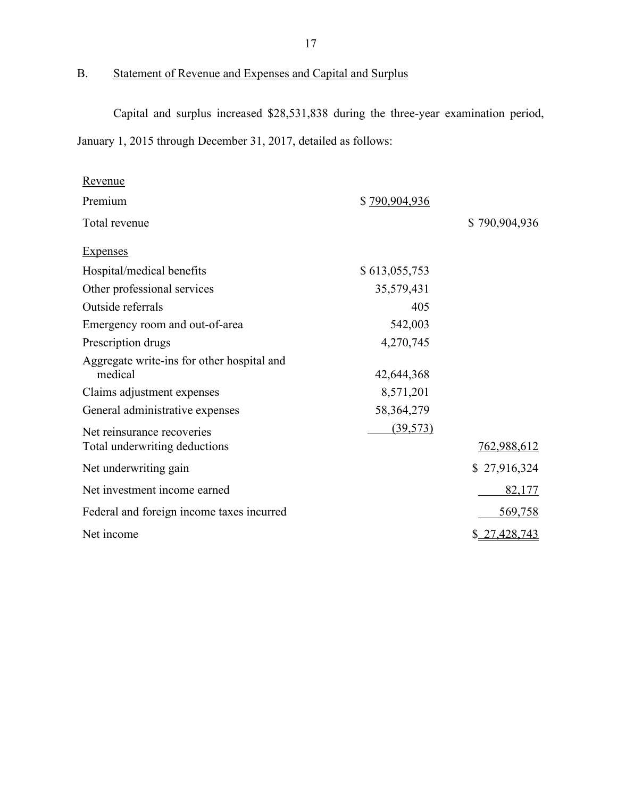## B. Statement of Revenue and Expenses and Capital and Surplus

Capital and surplus increased \$28,531,838 during the three-year examination period, January 1, 2015 through December 31, 2017, detailed as follows:

| <u>Revenue</u>                                        |               |                    |
|-------------------------------------------------------|---------------|--------------------|
| Premium                                               | \$790,904,936 |                    |
| Total revenue                                         |               | \$790,904,936      |
| <b>Expenses</b>                                       |               |                    |
| Hospital/medical benefits                             | \$613,055,753 |                    |
| Other professional services                           | 35,579,431    |                    |
| Outside referrals                                     | 405           |                    |
| Emergency room and out-of-area                        | 542,003       |                    |
| Prescription drugs                                    | 4,270,745     |                    |
| Aggregate write-ins for other hospital and<br>medical | 42,644,368    |                    |
| Claims adjustment expenses                            | 8,571,201     |                    |
| General administrative expenses                       | 58, 364, 279  |                    |
| Net reinsurance recoveries                            | (39, 573)     |                    |
| Total underwriting deductions                         |               | <u>762,988,612</u> |
| Net underwriting gain                                 |               | \$27,916,324       |
| Net investment income earned                          |               | 82,177             |
| Federal and foreign income taxes incurred             |               | 569,758            |
| Net income                                            |               | \$27,428,743       |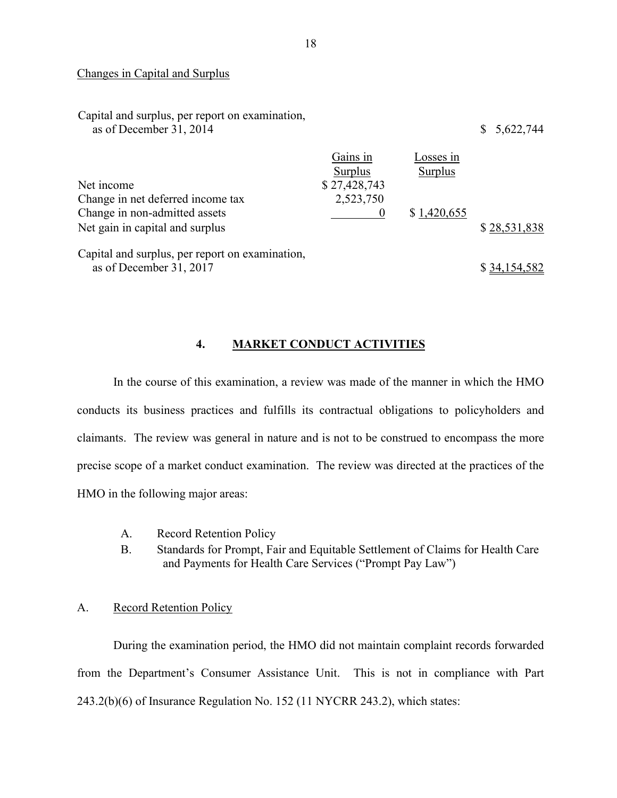#### <span id="page-19-0"></span>Changes in Capital and Surplus

| Capital and surplus, per report on examination,<br>as of December 31, 2014 |                     |                      | \$5,622,744  |
|----------------------------------------------------------------------------|---------------------|----------------------|--------------|
|                                                                            | Gains in<br>Surplus | Losses in<br>Surplus |              |
| Net income                                                                 | \$27,428,743        |                      |              |
| Change in net deferred income tax                                          | 2,523,750           |                      |              |
| Change in non-admitted assets                                              |                     | \$1,420,655          |              |
| Net gain in capital and surplus                                            |                     |                      | \$28,531,838 |
| Capital and surplus, per report on examination,<br>as of December 31, 2017 |                     |                      | \$34,154,582 |

#### **4. MARKET CONDUCT ACTIVITIES**

 claimants. The review was general in nature and is not to be construed to encompass the more precise scope of a market conduct examination. The review was directed at the practices of the In the course of this examination, a review was made of the manner in which the HMO conducts its business practices and fulfills its contractual obligations to policyholders and HMO in the following major areas:

- A. Record Retention Policy
- B. Standards for Prompt, Fair and Equitable Settlement of Claims for Health Care and Payments for Health Care Services ("Prompt Pay Law")

#### A. Record Retention Policy

 243.2(b)(6) of Insurance Regulation No. 152 (11 NYCRR 243.2), which states: During the examination period, the HMO did not maintain complaint records forwarded from the Department's Consumer Assistance Unit. This is not in compliance with Part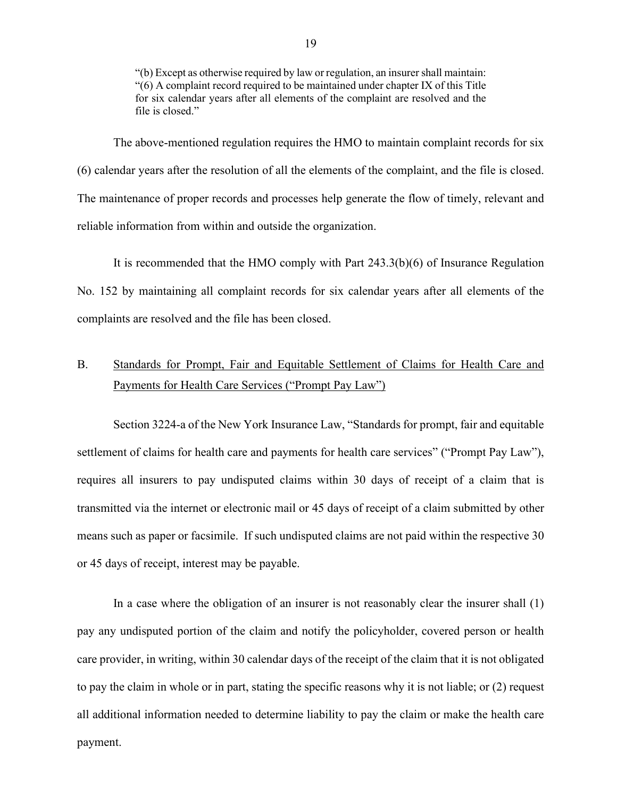<span id="page-20-0"></span> for six calendar years after all elements of the complaint are resolved and the "(b) Except as otherwise required by law or regulation, an insurer shall maintain: "(6) A complaint record required to be maintained under chapter IX of this Title file is closed."

 The above-mentioned regulation requires the HMO to maintain complaint records for six (6) calendar years after the resolution of all the elements of the complaint, and the file is closed. The maintenance of proper records and processes help generate the flow of timely, relevant and reliable information from within and outside the organization.

 It is recommended that the HMO comply with Part 243.3(b)(6) of Insurance Regulation No. 152 by maintaining all complaint records for six calendar years after all elements of the complaints are resolved and the file has been closed.

## B. Standards for Prompt, Fair and Equitable Settlement of Claims for Health Care and Payments for Health Care Services ("Prompt Pay Law")

 settlement of claims for health care and payments for health care services" ("Prompt Pay Law"), Section 3224-a of the New York Insurance Law, "Standards for prompt, fair and equitable requires all insurers to pay undisputed claims within 30 days of receipt of a claim that is transmitted via the internet or electronic mail or 45 days of receipt of a claim submitted by other means such as paper or facsimile. If such undisputed claims are not paid within the respective 30 or 45 days of receipt, interest may be payable.

 care provider, in writing, within 30 calendar days of the receipt of the claim that it is not obligated In a case where the obligation of an insurer is not reasonably clear the insurer shall (1) pay any undisputed portion of the claim and notify the policyholder, covered person or health to pay the claim in whole or in part, stating the specific reasons why it is not liable; or (2) request all additional information needed to determine liability to pay the claim or make the health care payment.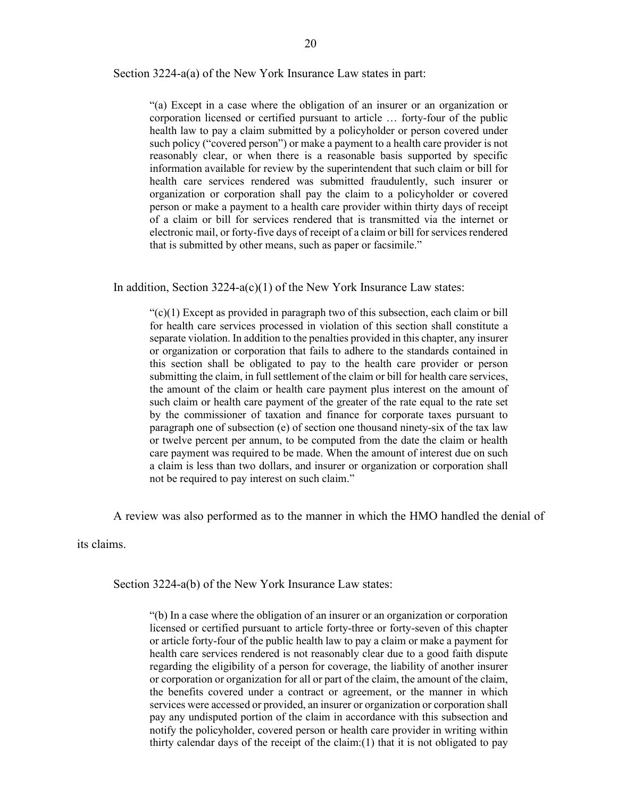#### Section 3224-a(a) of the New York Insurance Law states in part:

 "(a) Except in a case where the obligation of an insurer or an organization or reasonably clear, or when there is a reasonable basis supported by specific health care services rendered was submitted fraudulently, such insurer or person or make a payment to a health care provider within thirty days of receipt electronic mail, or forty-five days of receipt of a claim or bill for services rendered corporation licensed or certified pursuant to article … forty-four of the public health law to pay a claim submitted by a policyholder or person covered under such policy ("covered person") or make a payment to a health care provider is not information available for review by the superintendent that such claim or bill for organization or corporation shall pay the claim to a policyholder or covered of a claim or bill for services rendered that is transmitted via the internet or that is submitted by other means, such as paper or facsimile."

In addition, Section  $3224-a(c)(1)$  of the New York Insurance Law states:

 $\mathcal{C}(c)(1)$  Except as provided in paragraph two of this subsection, each claim or bill or organization or corporation that fails to adhere to the standards contained in this section shall be obligated to pay to the health care provider or person submitting the claim, in full settlement of the claim or bill for health care services, such claim or health care payment of the greater of the rate equal to the rate set or twelve percent per annum, to be computed from the date the claim or health for health care services processed in violation of this section shall constitute a separate violation. In addition to the penalties provided in this chapter, any insurer the amount of the claim or health care payment plus interest on the amount of by the commissioner of taxation and finance for corporate taxes pursuant to paragraph one of subsection (e) of section one thousand ninety-six of the tax law care payment was required to be made. When the amount of interest due on such a claim is less than two dollars, and insurer or organization or corporation shall not be required to pay interest on such claim."

A review was also performed as to the manner in which the HMO handled the denial of

its claims.

Section 3224-a(b) of the New York Insurance Law states:

 licensed or certified pursuant to article forty-three or forty-seven of this chapter or article forty-four of the public health law to pay a claim or make a payment for health care services rendered is not reasonably clear due to a good faith dispute regarding the eligibility of a person for coverage, the liability of another insurer the benefits covered under a contract or agreement, or the manner in which thirty calendar days of the receipt of the claim:(1) that it is not obligated to pay "(b) In a case where the obligation of an insurer or an organization or corporation or corporation or organization for all or part of the claim, the amount of the claim, services were accessed or provided, an insurer or organization or corporation shall pay any undisputed portion of the claim in accordance with this subsection and notify the policyholder, covered person or health care provider in writing within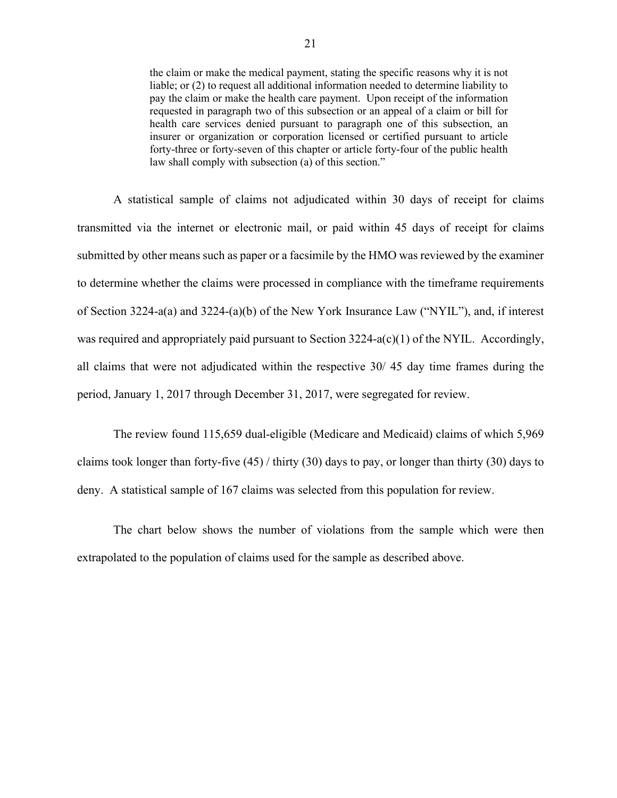the claim or make the medical payment, stating the specific reasons why it is not liable; or (2) to request all additional information needed to determine liability to pay the claim or make the health care payment. Upon receipt of the information requested in paragraph two of this subsection or an appeal of a claim or bill for insurer or organization or corporation licensed or certified pursuant to article health care services denied pursuant to paragraph one of this subsection, an forty-three or forty-seven of this chapter or article forty-four of the public health law shall comply with subsection (a) of this section."

 of Section 3224-a(a) and 3224-(a)(b) of the New York Insurance Law ("NYIL"), and, if interest period, January 1, 2017 through December 31, 2017, were segregated for review. A statistical sample of claims not adjudicated within 30 days of receipt for claims transmitted via the internet or electronic mail, or paid within 45 days of receipt for claims submitted by other means such as paper or a facsimile by the HMO was reviewed by the examiner to determine whether the claims were processed in compliance with the timeframe requirements was required and appropriately paid pursuant to Section  $3224-a(c)(1)$  of the NYIL. Accordingly, all claims that were not adjudicated within the respective 30/ 45 day time frames during the

 The review found 115,659 dual-eligible (Medicare and Medicaid) claims of which 5,969 claims took longer than forty-five  $(45)$  / thirty  $(30)$  days to pay, or longer than thirty  $(30)$  days to deny. A statistical sample of 167 claims was selected from this population for review.

The chart below shows the number of violations from the sample which were then extrapolated to the population of claims used for the sample as described above.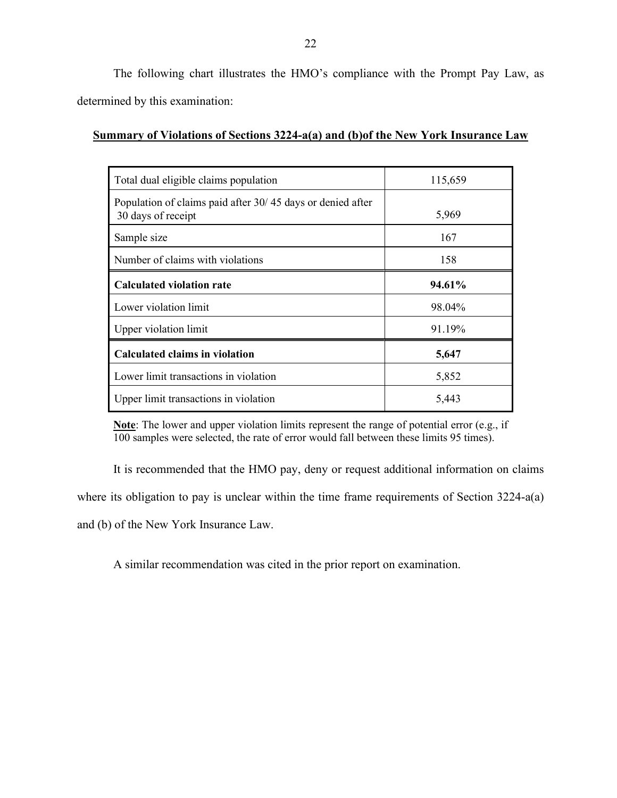The following chart illustrates the HMO's compliance with the Prompt Pay Law, as determined by this examination:

#### **Summary of Violations of Sections 3224-a(a) and (b)of the New York Insurance Law**

| Total dual eligible claims population                                            | 115,659 |
|----------------------------------------------------------------------------------|---------|
| Population of claims paid after 30/45 days or denied after<br>30 days of receipt | 5,969   |
| Sample size                                                                      | 167     |
| Number of claims with violations                                                 | 158     |
| <b>Calculated violation rate</b>                                                 | 94.61%  |
| Lower violation limit                                                            | 98.04%  |
| Upper violation limit                                                            | 91.19%  |
| <b>Calculated claims in violation</b>                                            | 5,647   |
| Lower limit transactions in violation                                            | 5,852   |
| Upper limit transactions in violation                                            | 5,443   |

 **Note**: The lower and upper violation limits represent the range of potential error (e.g., if 100 samples were selected, the rate of error would fall between these limits 95 times).

where its obligation to pay is unclear within the time frame requirements of Section 3224-a(a) It is recommended that the HMO pay, deny or request additional information on claims and (b) of the New York Insurance Law.

A similar recommendation was cited in the prior report on examination.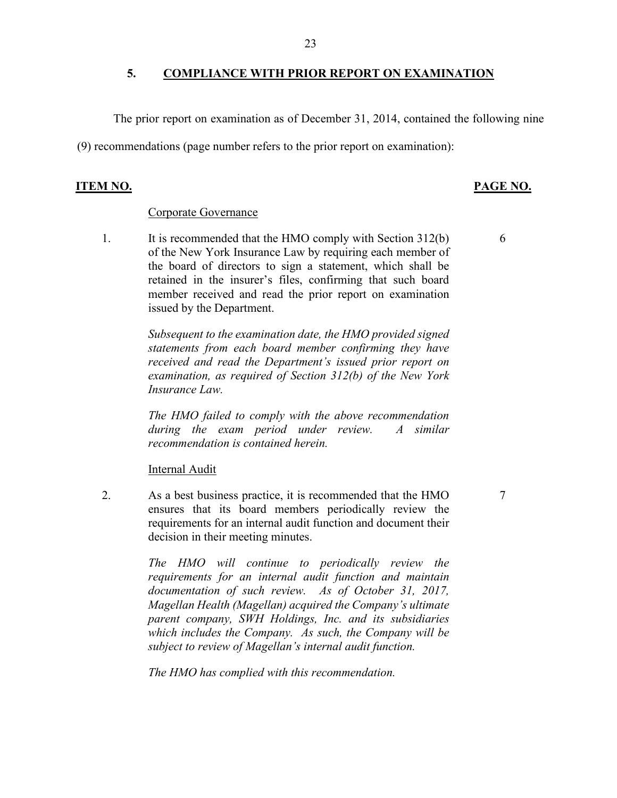### **5. COMPLIANCE WITH PRIOR REPORT ON EXAMINATION**

The prior report on examination as of December 31, 2014, contained the following nine

(9) recommendations (page number refers to the prior report on examination):

#### **ITEM NO. PAGE NO.**

#### Corporate Governance

 of the New York Insurance Law by requiring each member of member received and read the prior report on examination 1. It is recommended that the HMO comply with Section 312(b) the board of directors to sign a statement, which shall be retained in the insurer's files, confirming that such board issued by the Department.

> *Subsequent to the examination date, the HMO provided signed statements from each board member confirming they have received and read the Department's issued prior report on examination, as required of Section 312(b) of the New York Insurance Law.*

> *The HMO failed to comply with the above recommendation during the exam period under review. A similar recommendation is contained herein.*

Internal Audit

2. As a best business practice, it is recommended that the HMO ensures that its board members periodically review the requirements for an internal audit function and document their decision in their meeting minutes.

> *The HMO will continue to periodically review the parent company, SWH Holdings, Inc. and its subsidiaries requirements for an internal audit function and maintain documentation of such review. As of October 31, 2017, Magellan Health (Magellan) acquired the Company's ultimate which includes the Company. As such, the Company will be subject to review of Magellan's internal audit function.*

*The HMO has complied with this recommendation.* 

6

7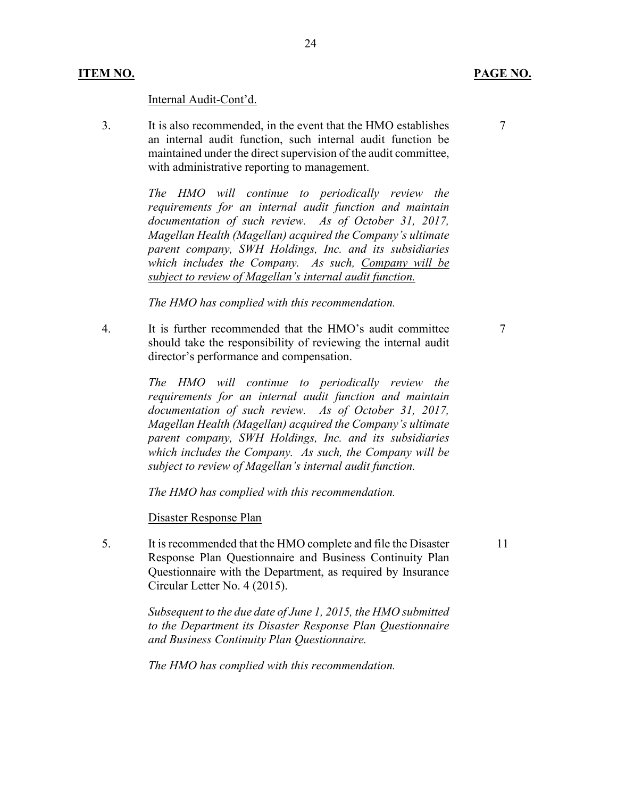#### Internal Audit-Cont'd.

 an internal audit function, such internal audit function be 3. It is also recommended, in the event that the HMO establishes maintained under the direct supervision of the audit committee, with administrative reporting to management.

> *The HMO will continue to periodically review the parent company, SWH Holdings, Inc. and its subsidiaries requirements for an internal audit function and maintain documentation of such review. As of October 31, 2017, Magellan Health (Magellan) acquired the Company's ultimate which includes the Company. As such, Company will be subject to review of Magellan's internal audit function.*

24

*The HMO has complied with this recommendation.* 

4. It is further recommended that the HMO's audit committee should take the responsibility of reviewing the internal audit director's performance and compensation.

> *The HMO will continue to periodically review the parent company, SWH Holdings, Inc. and its subsidiaries requirements for an internal audit function and maintain documentation of such review. As of October 31, 2017, Magellan Health (Magellan) acquired the Company's ultimate which includes the Company. As such, the Company will be subject to review of Magellan's internal audit function.*

*The HMO has complied with this recommendation.* 

Disaster Response Plan

 Questionnaire with the Department, as required by Insurance 5. It is recommended that the HMO complete and file the Disaster Response Plan Questionnaire and Business Continuity Plan Circular Letter No. 4 (2015).

> *Subsequent to the due date of June 1, 2015, the HMO submitted to the Department its Disaster Response Plan Questionnaire and Business Continuity Plan Questionnaire.*

*The HMO has complied with this recommendation.* 

7

11

7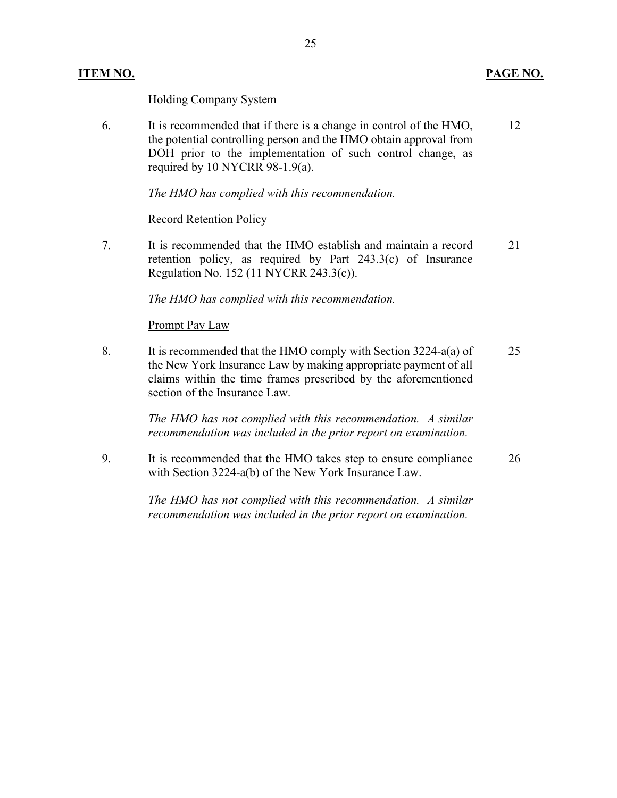#### **ITEM NO. PAGE NO.**

### Holding Company System

6. It is recommended that if there is a change in control of the HMO, the potential controlling person and the HMO obtain approval from DOH prior to the implementation of such control change, as required by 10 NYCRR 98-1.9(a). 12

*The HMO has complied with this recommendation.* 

#### Record Retention Policy

7. It is recommended that the HMO establish and maintain a record retention policy, as required by Part 243.3(c) of Insurance Regulation No. 152 (11 NYCRR 243.3(c)). 21

*The HMO has complied with this recommendation.* 

#### Prompt Pay Law

8. It is recommended that the HMO comply with Section 3224-a(a) of the New York Insurance Law by making appropriate payment of all claims within the time frames prescribed by the aforementioned section of the Insurance Law. 25

> *The HMO has not complied with this recommendation. A similar recommendation was included in the prior report on examination.*

9. It is recommended that the HMO takes step to ensure compliance with Section 3224-a(b) of the New York Insurance Law. 26

> *The HMO has not complied with this recommendation. A similar recommendation was included in the prior report on examination.*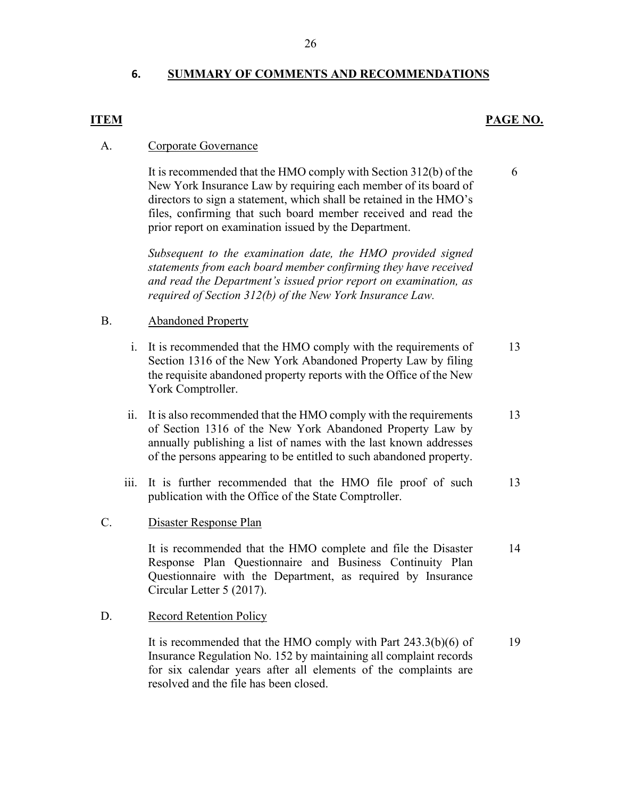### **6. SUMMARY OF COMMENTS AND RECOMMENDATIONS**

#### **ITEM PAGE NO.**

6

#### A. Corporate Governance

It is recommended that the HMO comply with Section 312(b) of the New York Insurance Law by requiring each member of its board of directors to sign a statement, which shall be retained in the HMO's files, confirming that such board member received and read the prior report on examination issued by the Department.

*Subsequent to the examination date, the HMO provided signed statements from each board member confirming they have received and read the Department's issued prior report on examination, as required of Section 312(b) of the New York Insurance Law.* 

#### B. Abandoned Property

- i. It is recommended that the HMO comply with the requirements of Section 1316 of the New York Abandoned Property Law by filing the requisite abandoned property reports with the Office of the New York Comptroller. 13
- ii. It is also recommended that the HMO comply with the requirements of Section 1316 of the New York Abandoned Property Law by annually publishing a list of names with the last known addresses of the persons appearing to be entitled to such abandoned property. 13
- iii. It is further recommended that the HMO file proof of such publication with the Office of the State Comptroller. 13
- C. Disaster Response Plan

 It is recommended that the HMO complete and file the Disaster Circular Letter 5 (2017). Response Plan Questionnaire and Business Continuity Plan Questionnaire with the Department, as required by Insurance 14

### D. Record Retention Policy

 resolved and the file has been closed. It is recommended that the HMO comply with Part 243.3(b)(6) of Insurance Regulation No. 152 by maintaining all complaint records for six calendar years after all elements of the complaints are 19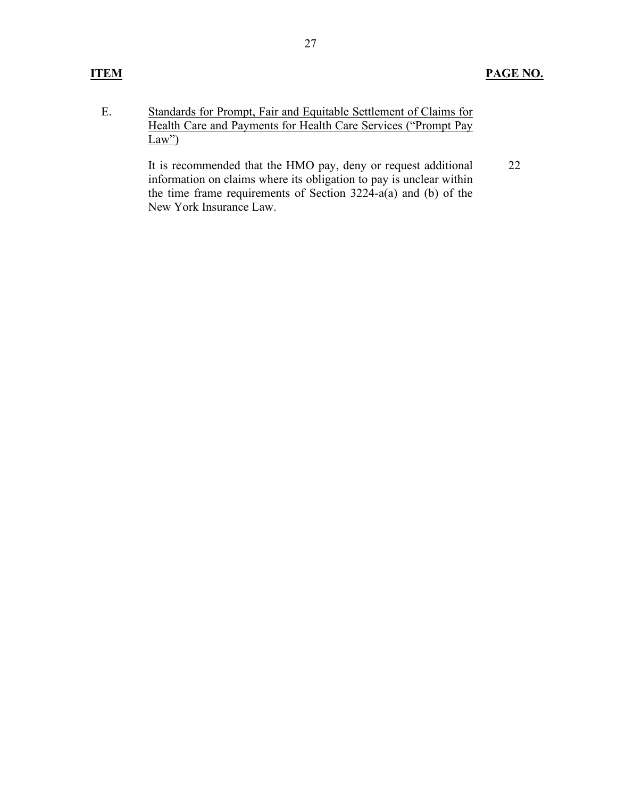E. Standards for Prompt, Fair and Equitable Settlement of Claims for Health Care and Payments for Health Care Services ("Prompt Pay  $Law$ ")

> It is recommended that the HMO pay, deny or request additional information on claims where its obligation to pay is unclear within the time frame requirements of Section 3224-a(a) and (b) of the New York Insurance Law. 22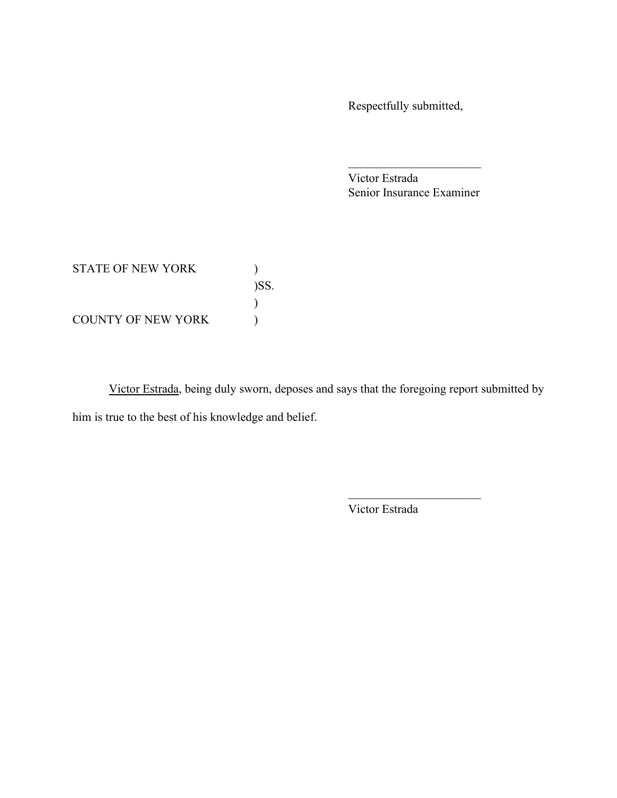Respectfully submitted,

Victor Estrada Senior Insurance Examiner

\_\_\_\_\_\_\_\_\_\_\_\_\_\_\_\_\_\_\_\_\_\_

STATE OF NEW YORK  $)$ COUNTY OF NEW YORK  $\qquad \qquad )$ )SS. )

Victor Estrada, being duly sworn, deposes and says that the foregoing report submitted by him is true to the best of his knowledge and belief.

Victor Estrada

\_\_\_\_\_\_\_\_\_\_\_\_\_\_\_\_\_\_\_\_\_\_